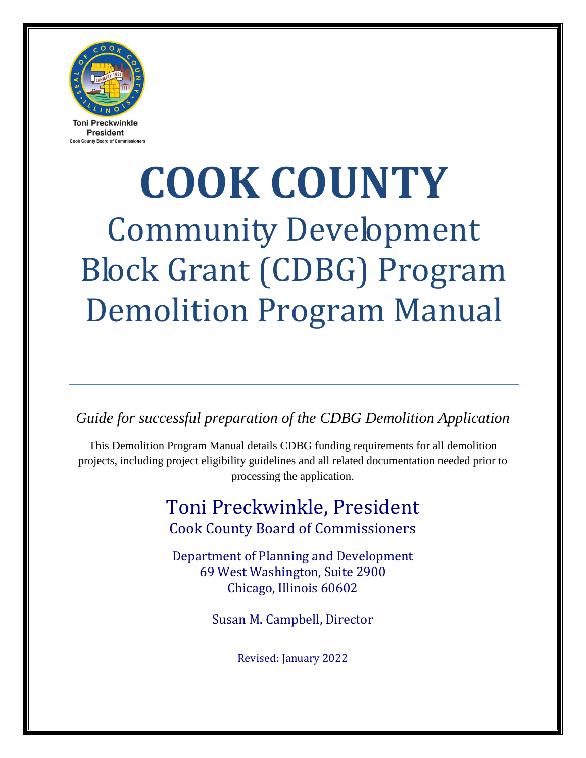

**President County Board of Co.** 

# **COOK COUNTY** Community Development Block Grant (CDBG) Program Demolition Program Manual

*Guide for successful preparation of the CDBG Demolition Application* 

This Demolition Program Manual details CDBG funding requirements for all demolition projects, including project eligibility guidelines and all related documentation needed prior to processing the application.

# Toni Preckwinkle, President Cook County Board of Commissioners

Department of Planning and Development 69 West Washington, Suite 2900 Chicago, Illinois 60602

Susan M. Campbell, Director

Revised: January 2022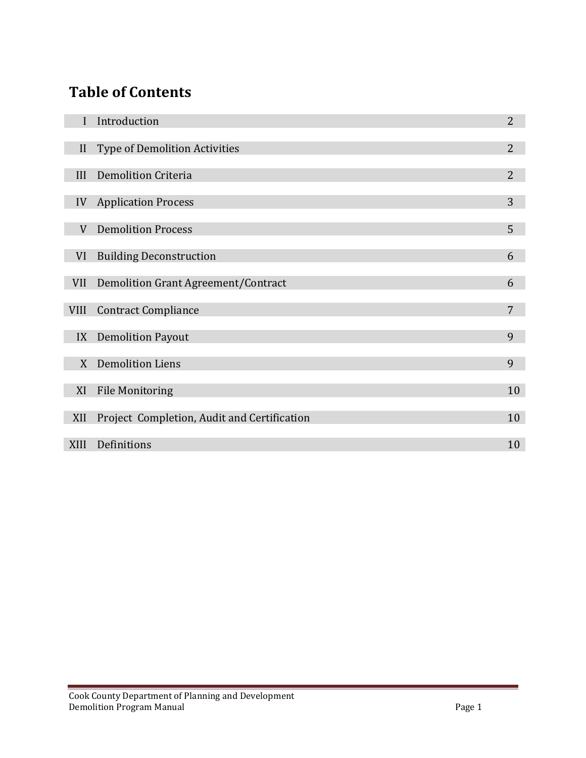# **Table of Contents**

l

I

I

|             | Introduction                                | $\overline{2}$ |
|-------------|---------------------------------------------|----------------|
| II          | <b>Type of Demolition Activities</b>        | $\overline{2}$ |
| III         | <b>Demolition Criteria</b>                  | $\overline{2}$ |
| IV          | <b>Application Process</b>                  | 3              |
| V           | <b>Demolition Process</b>                   | 5              |
| VI          | <b>Building Deconstruction</b>              | 6              |
| <b>VII</b>  | Demolition Grant Agreement/Contract         | 6              |
| <b>VIII</b> | <b>Contract Compliance</b>                  | 7              |
| IX          | <b>Demolition Payout</b>                    | 9              |
| X           | <b>Demolition Liens</b>                     | 9              |
| XI          | <b>File Monitoring</b>                      | 10             |
| XII         | Project Completion, Audit and Certification | 10             |
| <b>XIII</b> | Definitions                                 | 10             |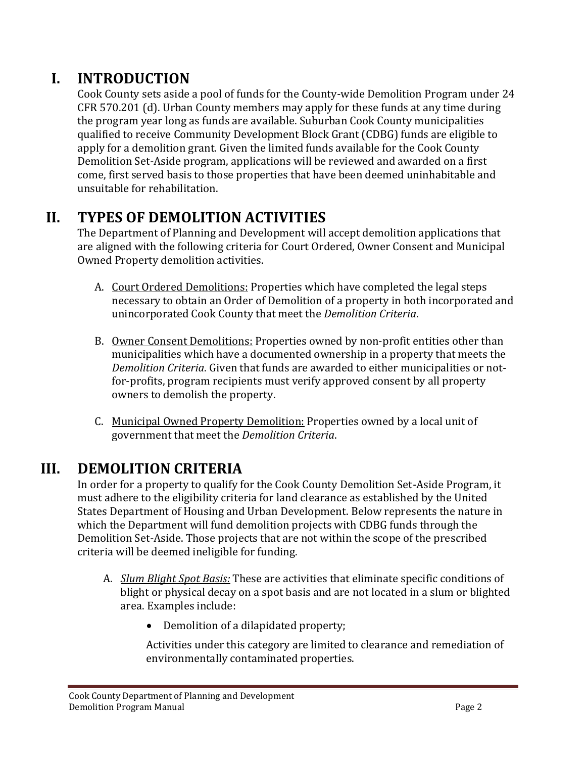# **I. INTRODUCTION**

Cook County sets aside a pool of funds for the County-wide Demolition Program under 24 CFR 570.201 (d). Urban County members may apply for these funds at any time during the program year long as funds are available. Suburban Cook County municipalities qualified to receive Community Development Block Grant (CDBG) funds are eligible to apply for a demolition grant. Given the limited funds available for the Cook County Demolition Set-Aside program, applications will be reviewed and awarded on a first come, first served basis to those properties that have been deemed uninhabitable and unsuitable for rehabilitation.

# **II. TYPES OF DEMOLITION ACTIVITIES**

The Department of Planning and Development will accept demolition applications that are aligned with the following criteria for Court Ordered, Owner Consent and Municipal Owned Property demolition activities.

- A. Court Ordered Demolitions: Properties which have completed the legal steps necessary to obtain an Order of Demolition of a property in both incorporated and unincorporated Cook County that meet the *Demolition Criteria*.
- B. Owner Consent Demolitions: Properties owned by non-profit entities other than municipalities which have a documented ownership in a property that meets the *Demolition Criteria*. Given that funds are awarded to either municipalities or notfor-profits, program recipients must verify approved consent by all property owners to demolish the property.
- C. Municipal Owned Property Demolition: Properties owned by a local unit of government that meet the *Demolition Criteria*.

#### **III. DEMOLITION CRITERIA**

In order for a property to qualify for the Cook County Demolition Set-Aside Program, it must adhere to the eligibility criteria for land clearance as established by the United States Department of Housing and Urban Development. Below represents the nature in which the Department will fund demolition projects with CDBG funds through the Demolition Set-Aside. Those projects that are not within the scope of the prescribed criteria will be deemed ineligible for funding.

- A. *Slum Blight Spot Basis:* These are activities that eliminate specific conditions of blight or physical decay on a spot basis and are not located in a slum or blighted area. Examples include:
	- Demolition of a dilapidated property;

Activities under this category are limited to clearance and remediation of environmentally contaminated properties.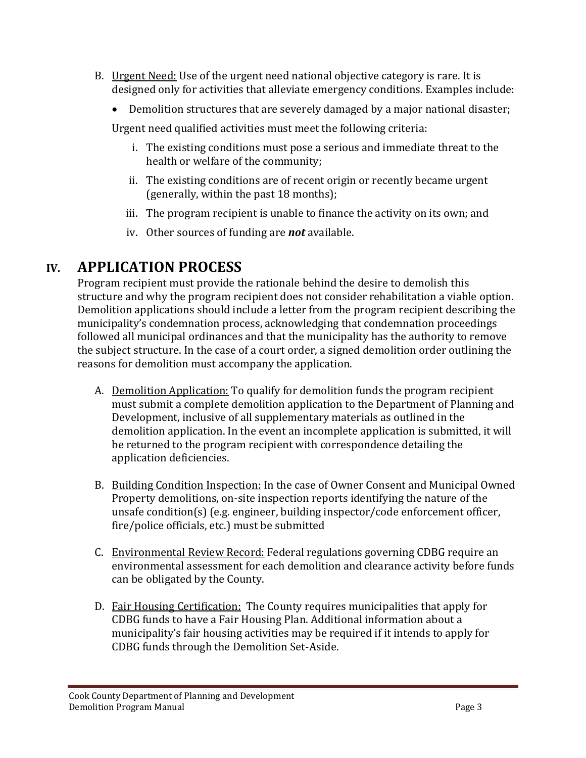- B. Urgent Need: Use of the urgent need national objective category is rare. It is designed only for activities that alleviate emergency conditions. Examples include:
	- Demolition structures that are severely damaged by a major national disaster;

Urgent need qualified activities must meet the following criteria:

- i. The existing conditions must pose a serious and immediate threat to the health or welfare of the community;
- ii. The existing conditions are of recent origin or recently became urgent (generally, within the past 18 months);
- iii. The program recipient is unable to finance the activity on its own; and
- iv. Other sources of funding are *not* available.

#### **IV. APPLICATION PROCESS**

Program recipient must provide the rationale behind the desire to demolish this structure and why the program recipient does not consider rehabilitation a viable option. Demolition applications should include a letter from the program recipient describing the municipality's condemnation process, acknowledging that condemnation proceedings followed all municipal ordinances and that the municipality has the authority to remove the subject structure. In the case of a court order, a signed demolition order outlining the reasons for demolition must accompany the application.

- A. Demolition Application: To qualify for demolition funds the program recipient must submit a complete demolition application to the Department of Planning and Development, inclusive of all supplementary materials as outlined in the demolition application. In the event an incomplete application is submitted, it will be returned to the program recipient with correspondence detailing the application deficiencies.
- B. Building Condition Inspection: In the case of Owner Consent and Municipal Owned Property demolitions, on-site inspection reports identifying the nature of the unsafe condition(s) (e.g. engineer, building inspector/code enforcement officer, fire/police officials, etc.) must be submitted
- C. Environmental Review Record: Federal regulations governing CDBG require an environmental assessment for each demolition and clearance activity before funds can be obligated by the County.
- D. Fair Housing Certification: The County requires municipalities that apply for CDBG funds to have a Fair Housing Plan. Additional information about a municipality's fair housing activities may be required if it intends to apply for CDBG funds through the Demolition Set-Aside.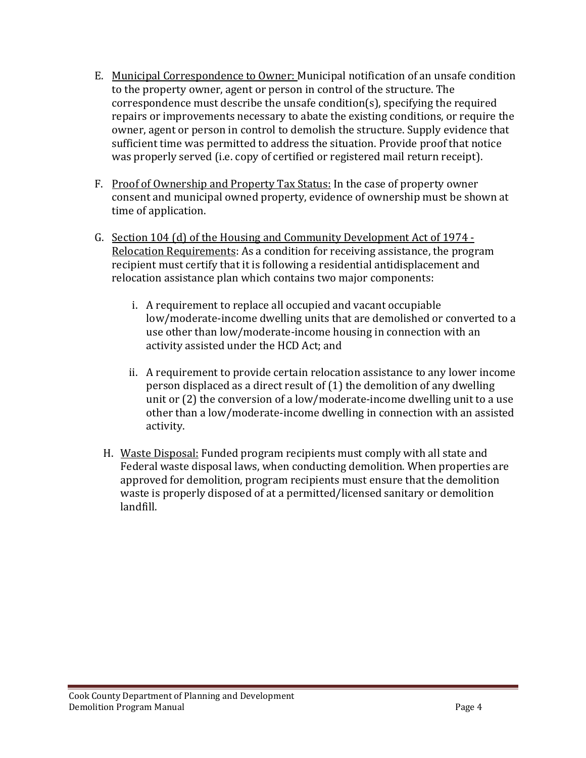- E. Municipal Correspondence to Owner: Municipal notification of an unsafe condition to the property owner, agent or person in control of the structure. The correspondence must describe the unsafe condition(s), specifying the required repairs or improvements necessary to abate the existing conditions, or require the owner, agent or person in control to demolish the structure. Supply evidence that sufficient time was permitted to address the situation. Provide proof that notice was properly served (i.e. copy of certified or registered mail return receipt).
- F. Proof of Ownership and Property Tax Status: In the case of property owner consent and municipal owned property, evidence of ownership must be shown at time of application.
- G. Section 104 (d) of the Housing and Community Development Act of 1974 Relocation Requirements: As a condition for receiving assistance, the program recipient must certify that it is following a residential antidisplacement and relocation assistance plan which contains two major components:
	- i. A requirement to replace all occupied and vacant occupiable low/moderate-income dwelling units that are demolished or converted to a use other than low/moderate-income housing in connection with an activity assisted under the HCD Act; and
	- ii. A requirement to provide certain relocation assistance to any lower income person displaced as a direct result of (1) the demolition of any dwelling unit or (2) the conversion of a low/moderate-income dwelling unit to a use other than a low/moderate-income dwelling in connection with an assisted activity.
	- H. Waste Disposal: Funded program recipients must comply with all state and Federal waste disposal laws, when conducting demolition. When properties are approved for demolition, program recipients must ensure that the demolition waste is properly disposed of at a permitted/licensed sanitary or demolition landfill.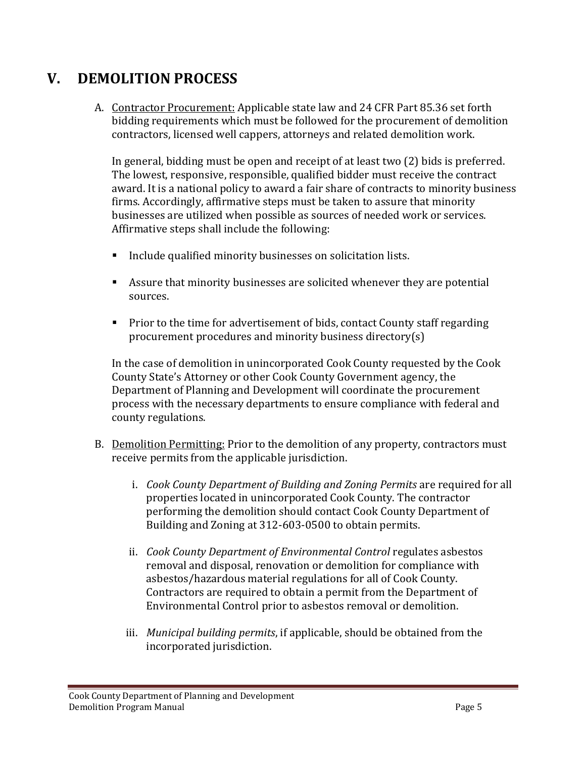#### **V. DEMOLITION PROCESS**

A. Contractor Procurement: Applicable state law and 24 CFR Part 85.36 set forth bidding requirements which must be followed for the procurement of demolition contractors, licensed well cappers, attorneys and related demolition work.

In general, bidding must be open and receipt of at least two (2) bids is preferred. The lowest, responsive, responsible, qualified bidder must receive the contract award. It is a national policy to award a fair share of contracts to minority business firms. Accordingly, affirmative steps must be taken to assure that minority businesses are utilized when possible as sources of needed work or services. Affirmative steps shall include the following:

- Include qualified minority businesses on solicitation lists.
- Assure that minority businesses are solicited whenever they are potential sources.
- Prior to the time for advertisement of bids, contact County staff regarding procurement procedures and minority business directory(s)

In the case of demolition in unincorporated Cook County requested by the Cook County State's Attorney or other Cook County Government agency, the Department of Planning and Development will coordinate the procurement process with the necessary departments to ensure compliance with federal and county regulations.

- B. Demolition Permitting: Prior to the demolition of any property, contractors must receive permits from the applicable jurisdiction.
	- i. *Cook County Department of Building and Zoning Permits* are required for all properties located in unincorporated Cook County. The contractor performing the demolition should contact Cook County Department of Building and Zoning at 312-603-0500 to obtain permits.
	- ii. *Cook County Department of Environmental Control* regulates asbestos removal and disposal, renovation or demolition for compliance with asbestos/hazardous material regulations for all of Cook County. Contractors are required to obtain a permit from the Department of Environmental Control prior to asbestos removal or demolition.
	- iii. *Municipal building permits*, if applicable, should be obtained from the incorporated jurisdiction.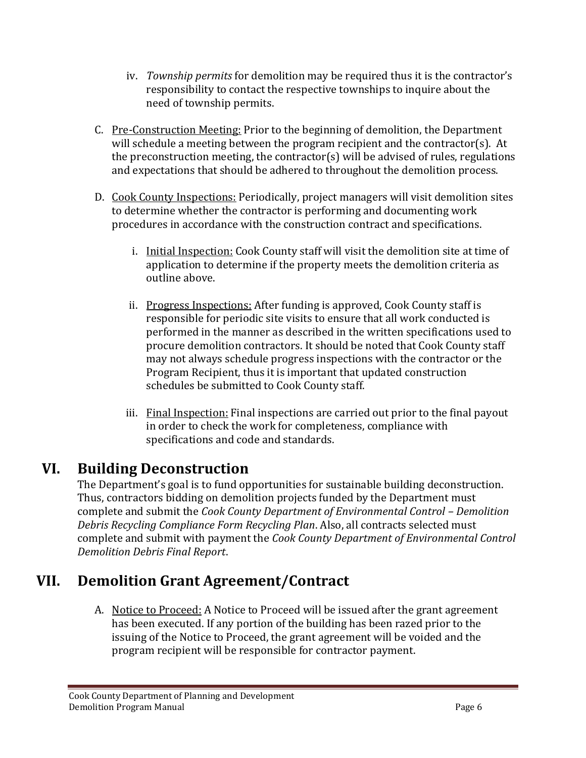- iv. *Township permits* for demolition may be required thus it is the contractor's responsibility to contact the respective townships to inquire about the need of township permits.
- C. Pre-Construction Meeting: Prior to the beginning of demolition, the Department will schedule a meeting between the program recipient and the contractor(s). At the preconstruction meeting, the contractor(s) will be advised of rules, regulations and expectations that should be adhered to throughout the demolition process.
- D. Cook County Inspections: Periodically, project managers will visit demolition sites to determine whether the contractor is performing and documenting work procedures in accordance with the construction contract and specifications.
	- i. Initial Inspection: Cook County staff will visit the demolition site at time of application to determine if the property meets the demolition criteria as outline above.
	- ii. Progress Inspections: After funding is approved, Cook County staff is responsible for periodic site visits to ensure that all work conducted is performed in the manner as described in the written specifications used to procure demolition contractors. It should be noted that Cook County staff may not always schedule progress inspections with the contractor or the Program Recipient, thus it is important that updated construction schedules be submitted to Cook County staff.
	- iii. Final Inspection: Final inspections are carried out prior to the final payout in order to check the work for completeness, compliance with specifications and code and standards.

# **VI. Building Deconstruction**

The Department's goal is to fund opportunities for sustainable building deconstruction. Thus, contractors bidding on demolition projects funded by the Department must complete and submit the *Cook County Department of Environmental Control – Demolition Debris Recycling Compliance Form Recycling Plan*. Also, all contracts selected must complete and submit with payment the *Cook County Department of Environmental Control Demolition Debris Final Report*.

# **VII. Demolition Grant Agreement/Contract**

A. Notice to Proceed: A Notice to Proceed will be issued after the grant agreement has been executed. If any portion of the building has been razed prior to the issuing of the Notice to Proceed, the grant agreement will be voided and the program recipient will be responsible for contractor payment.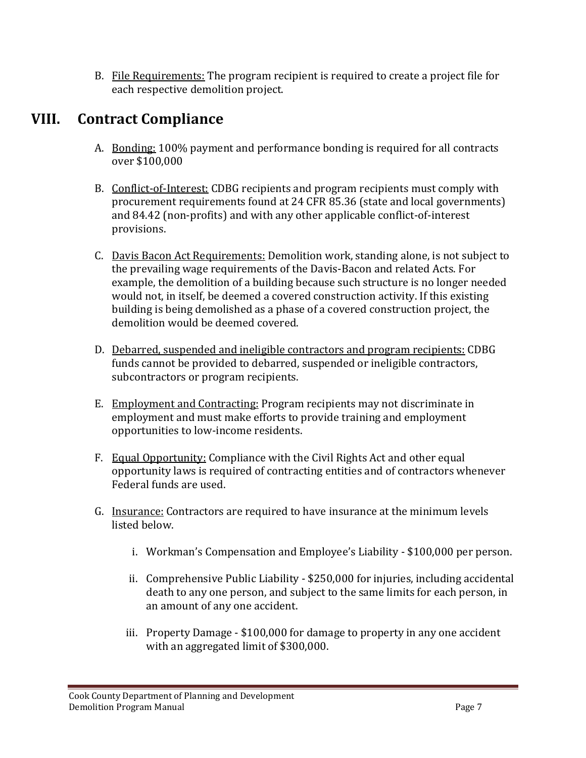B. File Requirements: The program recipient is required to create a project file for each respective demolition project.

# **VIII. Contract Compliance**

- A. Bonding: 100% payment and performance bonding is required for all contracts over \$100,000
- B. Conflict-of-Interest: CDBG recipients and program recipients must comply with procurement requirements found at 24 CFR 85.36 (state and local governments) and 84.42 (non-profits) and with any other applicable conflict-of-interest provisions.
- C. Davis Bacon Act Requirements: Demolition work, standing alone, is not subject to the prevailing wage requirements of the Davis-Bacon and related Acts. For example, the demolition of a building because such structure is no longer needed would not, in itself, be deemed a covered construction activity. If this existing building is being demolished as a phase of a covered construction project, the demolition would be deemed covered.
- D. Debarred, suspended and ineligible contractors and program recipients: CDBG funds cannot be provided to debarred, suspended or ineligible contractors, subcontractors or program recipients.
- E. Employment and Contracting: Program recipients may not discriminate in employment and must make efforts to provide training and employment opportunities to low-income residents.
- F. Equal Opportunity: Compliance with the Civil Rights Act and other equal opportunity laws is required of contracting entities and of contractors whenever Federal funds are used.
- G. Insurance: Contractors are required to have insurance at the minimum levels listed below.
	- i. Workman's Compensation and Employee's Liability \$100,000 per person.
	- ii. Comprehensive Public Liability \$250,000 for injuries, including accidental death to any one person, and subject to the same limits for each person, in an amount of any one accident.
	- iii. Property Damage \$100,000 for damage to property in any one accident with an aggregated limit of \$300,000.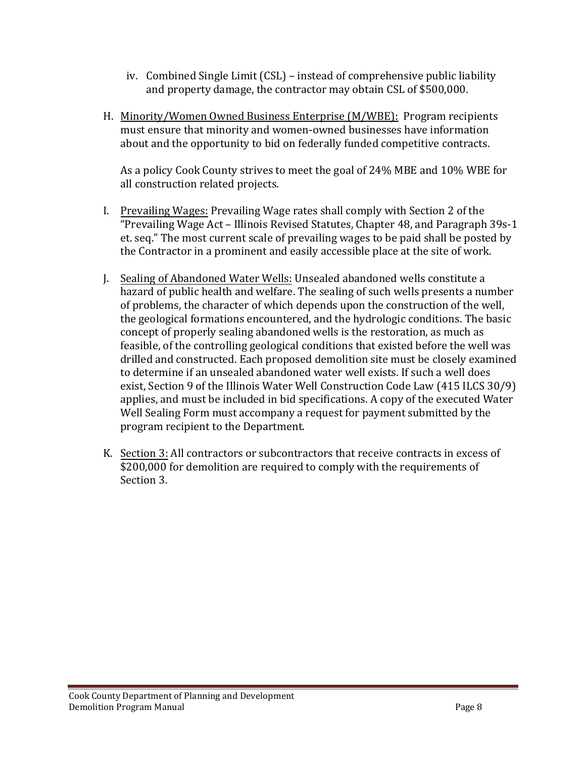- iv. Combined Single Limit (CSL) instead of comprehensive public liability and property damage, the contractor may obtain CSL of \$500,000.
- H. Minority/Women Owned Business Enterprise (M/WBE): Program recipients must ensure that minority and women-owned businesses have information about and the opportunity to bid on federally funded competitive contracts.

As a policy Cook County strives to meet the goal of 24% MBE and 10% WBE for all construction related projects.

- I. Prevailing Wages: Prevailing Wage rates shall comply with Section 2 of the "Prevailing Wage Act – Illinois Revised Statutes, Chapter 48, and Paragraph 39s-1 et. seq." The most current scale of prevailing wages to be paid shall be posted by the Contractor in a prominent and easily accessible place at the site of work.
- J. Sealing of Abandoned Water Wells: Unsealed abandoned wells constitute a hazard of public health and welfare. The sealing of such wells presents a number of problems, the character of which depends upon the construction of the well, the geological formations encountered, and the hydrologic conditions. The basic concept of properly sealing abandoned wells is the restoration, as much as feasible, of the controlling geological conditions that existed before the well was drilled and constructed. Each proposed demolition site must be closely examined to determine if an unsealed abandoned water well exists. If such a well does exist, Section 9 of the Illinois Water Well Construction Code Law (415 ILCS 30/9) applies, and must be included in bid specifications. A copy of the executed Water Well Sealing Form must accompany a request for payment submitted by the program recipient to the Department.
- K. Section 3: All contractors or subcontractors that receive contracts in excess of \$200,000 for demolition are required to comply with the requirements of Section 3.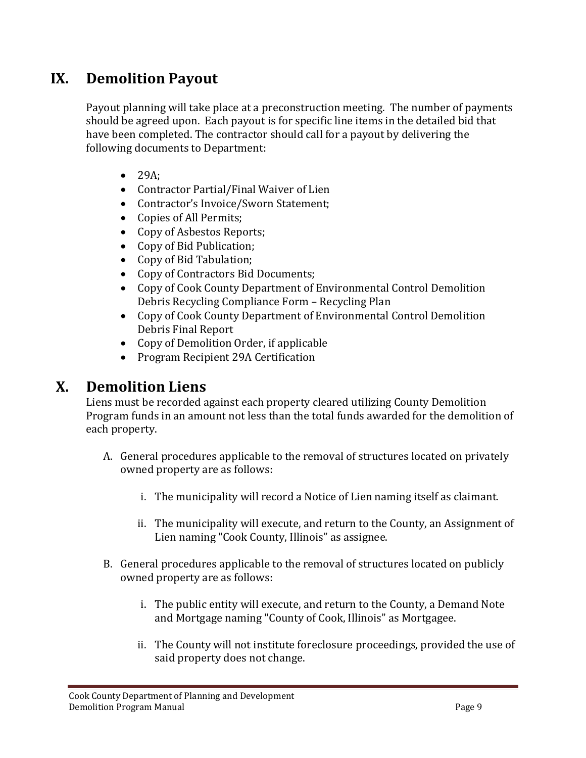### **IX. Demolition Payout**

Payout planning will take place at a preconstruction meeting. The number of payments should be agreed upon. Each payout is for specific line items in the detailed bid that have been completed. The contractor should call for a payout by delivering the following documents to Department:

- $\bullet$  29A;
- Contractor Partial/Final Waiver of Lien
- Contractor's Invoice/Sworn Statement;
- Copies of All Permits;
- Copy of Asbestos Reports;
- Copy of Bid Publication;
- Copy of Bid Tabulation;
- Copy of Contractors Bid Documents;
- Copy of Cook County Department of Environmental Control Demolition Debris Recycling Compliance Form – Recycling Plan
- Copy of Cook County Department of Environmental Control Demolition Debris Final Report
- Copy of Demolition Order, if applicable
- Program Recipient 29A Certification

#### **X. Demolition Liens**

Liens must be recorded against each property cleared utilizing County Demolition Program funds in an amount not less than the total funds awarded for the demolition of each property.

- A. General procedures applicable to the removal of structures located on privately owned property are as follows:
	- i. The municipality will record a Notice of Lien naming itself as claimant.
	- ii. The municipality will execute, and return to the County, an Assignment of Lien naming "Cook County, Illinois" as assignee.
- B. General procedures applicable to the removal of structures located on publicly owned property are as follows:
	- i. The public entity will execute, and return to the County, a Demand Note and Mortgage naming "County of Cook, Illinois" as Mortgagee.
	- ii. The County will not institute foreclosure proceedings, provided the use of said property does not change.